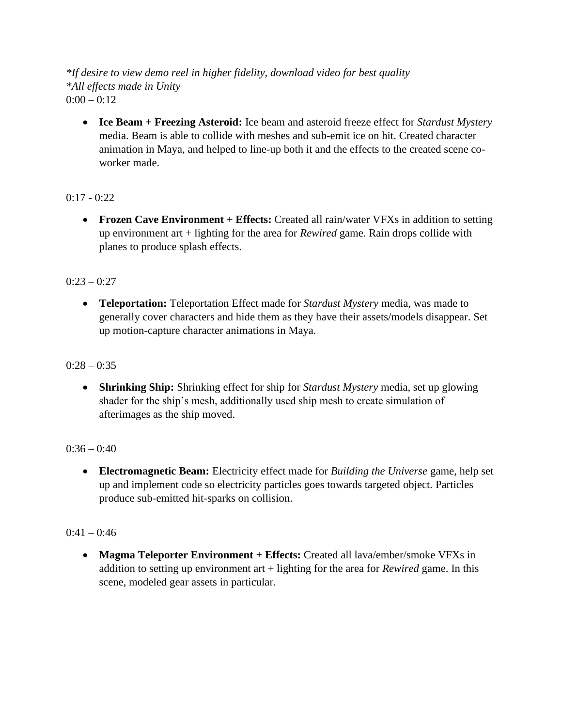*\*If desire to view demo reel in higher fidelity, download video for best quality \*All effects made in Unity*  $0:00 - 0:12$ 

• **Ice Beam + Freezing Asteroid:** Ice beam and asteroid freeze effect for *Stardust Mystery* media. Beam is able to collide with meshes and sub-emit ice on hit. Created character animation in Maya, and helped to line-up both it and the effects to the created scene coworker made.

# $0:17 - 0:22$

• **Frozen Cave Environment + Effects:** Created all rain/water VFXs in addition to setting up environment art + lighting for the area for *Rewired* game. Rain drops collide with planes to produce splash effects.

# $0:23 - 0:27$

• **Teleportation:** Teleportation Effect made for *Stardust Mystery* media, was made to generally cover characters and hide them as they have their assets/models disappear. Set up motion-capture character animations in Maya.

# $0:28 - 0:35$

• **Shrinking Ship:** Shrinking effect for ship for *Stardust Mystery* media, set up glowing shader for the ship's mesh, additionally used ship mesh to create simulation of afterimages as the ship moved.

## $0:36 - 0:40$

• **Electromagnetic Beam:** Electricity effect made for *Building the Universe* game, help set up and implement code so electricity particles goes towards targeted object. Particles produce sub-emitted hit-sparks on collision.

## $0.41 - 0.46$

• **Magma Teleporter Environment + Effects:** Created all lava/ember/smoke VFXs in addition to setting up environment art + lighting for the area for *Rewired* game. In this scene, modeled gear assets in particular.